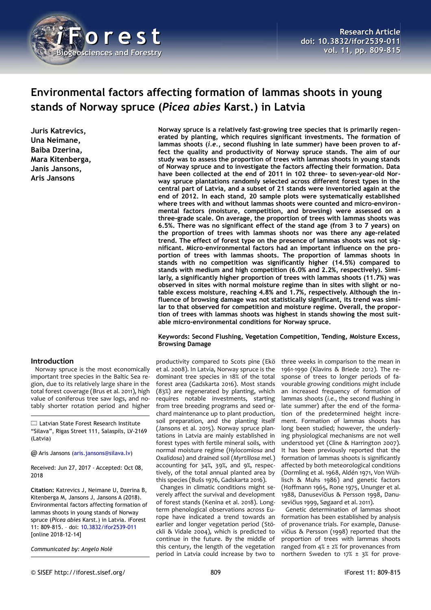

# **Environmental factors affecting formation of lammas shoots in young stands of Norway spruce (***Picea abies* **Karst.) in Latvia**

**Juris Katrevics, Una Neimane, Baiba Dzerina, Mara Kitenberga, Janis Jansons, Aris Jansons**

## **Introduction**

Norway spruce is the most economically important tree species in the Baltic Sea region, due to its relatively large share in the total forest coverage (Brus et al. 2011), high value of coniferous tree saw logs, and notably shorter rotation period and higher

 $□$  **Latvian State Forest Research Institute** "Silava", Rigas Street 111, Salaspils, LV-2169 (Latvia)

@ Aris Jansons [\(aris.jansons@silava.lv\)](mailto:aris.jansons@silava.lv)

Received: Jun 27, 2017 - Accepted: Oct 08, 2018

**Citation:** Katrevics J, Neimane U, Dzerina B, Kitenberga M, Jansons J, Jansons A (2018). Environmental factors affecting formation of lammas shoots in young stands of Norway spruce (*Picea abies* Karst.) in Latvia. iForest 11: 809-815. – doi: [10.3832/ifor2539-011](http://www.sisef.it/iforest/contents/?id=ifor2539-011) [online 2018-12-14]

*Communicated by: Angelo Nolè*

**Norway spruce is a relatively fast-growing tree species that is primarily regenerated by planting, which requires significant investments. The formation of lammas shoots (***i.e.***, second flushing in late summer) have been proven to affect the quality and productivity of Norway spruce stands. The aim of our study was to assess the proportion of trees with lammas shoots in young stands of Norway spruce and to investigate the factors affecting their formation. Data have been collected at the end of 2011 in 102 three- to seven-year-old Norway spruce plantations randomly selected across different forest types in the central part of Latvia, and a subset of 21 stands were inventoried again at the end of 2012. In each stand, 20 sample plots were systematically established where trees with and without lammas shoots were counted and micro-environmental factors (moisture, competition, and browsing) were assessed on a three-grade scale. On average, the proportion of trees with lammas shoots was 6.5%. There was no significant effect of the stand age (from 3 to 7 years) on the proportion of trees with lammas shoots nor was there any age-related trend. The effect of forest type on the presence of lammas shoots was not significant. Micro-environmental factors had an important influence on the proportion of trees with lammas shoots. The proportion of lammas shoots in stands with no competition was significantly higher (14.5%) compared to stands with medium and high competition (6.0% and 2.2%, respectively). Similarly, a significantly higher proportion of trees with lammas shoots (11.7%) was observed in sites with normal moisture regime than in sites with slight or notable excess moisture, reaching 4.8% and 1.7%, respectively. Although the influence of browsing damage was not statistically significant, its trend was similar to that observed for competition and moisture regime. Overall, the proportion of trees with lammas shoots was highest in stands showing the most suitable micro-environmental conditions for Norway spruce.**

## **Keywords: Second Flushing, Vegetation Competition, Tending, Moisture Excess, Browsing Damage**

productivity compared to Scots pine (Ekö et al. 2008). In Latvia, Norway spruce is the dominant tree species in 18% of the total forest area (Gadskarta 2016). Most stands (83%) are regenerated by planting, which requires notable investments, starting from tree breeding programs and seed orchard maintenance up to plant production, soil preparation, and the planting itself (Jansons et al. 2015). Norway spruce plantations in Latvia are mainly established in forest types with fertile mineral soils, with normal moisture regime (*Hylocomiosa* and *Oxalidosa*) and drained soil (*Myrtillosa mel.*) accounting for 34%, 39%, and 9%, respectively, of the total annual planted area by this species (Bušs 1976, Gadskarta 2016).

Changes in climatic conditions might severely affect the survival and development of forest stands (Kenina et al. 2018). Longterm phenological observations across Europe have indicated a trend towards an earlier and longer vegetation period (Stöckli & Vidale 2004), which is predicted to continue in the future. By the middle of this century, the length of the vegetation period in Latvia could increase by two to

three weeks in comparison to the mean in 1961-1990 (Klavins & Briede 2012). The response of trees to longer periods of favourable growing conditions might include an increased frequency of formation of lammas shoots (*i.e.*, the second flushing in late summer) after the end of the formation of the predetermined height increment. Formation of lammas shoots has long been studied; however, the underlying physiological mechanisms are not well understood yet (Cline & Harrington 2007). It has been previously reported that the formation of lammas shoots is significantly affected by both meteorological conditions (Dormling et al. 1968, Aldén 1971, Von Wühlisch & Muhs 1986) and genetic factors (Hoffmann 1965, Rone 1975, Ununger et al. 1988, Danusevičius & Persson 1998, Danusevičius 1999, Søgaard et al. 2011).

Genetic determination of lammas shoot formation has been established by analysis of provenance trials. For example, Danusevičius & Persson (1998) reported that the proportion of trees with lammas shoots ranged from 4% ± 2% for provenances from northern Sweden to 17% ± 3% for prove-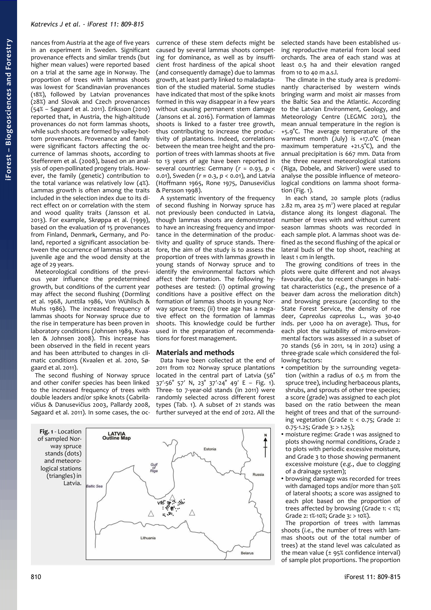nances from Austria at the age of five years in an experiment in Sweden. Significant provenance effects and similar trends (but higher mean values) were reported based on a trial at the same age in Norway. The proportion of trees with lammas shoots was lowest for Scandinavian provenances (18%), followed by Latvian provenances (28%) and Slovak and Czech provenances (54% – Søgaard et al. 2011). Eriksson (2010) reported that, in Austria, the high-altitude provenances do not form lammas shoots, while such shoots are formed by valley-bottom provenances. Provenance and family were significant factors affecting the occurrence of lammas shoots, according to Steffenrem et al. (2008), based on an analysis of open-pollinated progeny trials. However, the family (genetic) contribution to the total variance was relatively low (4%). Lammas growth is often among the traits included in the selection index due to its direct effect on or correlation with the stem and wood quality traits (Jansson et al. 2013). For example, Skrøppa et al. (1999), based on the evaluation of 15 provenances from Finland, Denmark, Germany, and Poland, reported a significant association between the occurrence of lammas shoots at juvenile age and the wood density at the age of 29 years.

Meteorological conditions of the previous year influence the predetermined growth, but conditions of the current year may affect the second flushing (Dormling et al. 1968, Junttila 1986, Von Wühlisch & Muhs 1986). The increased frequency of lammas shoots for Norway spruce due to the rise in temperature has been proven in laboratory conditions (Johnsen 1989, Kvaalen & Johnsen 2008). This increase has been observed in the field in recent years and has been attributed to changes in climatic conditions (Kvaalen et al. 2010, Søgaard et al. 2011).

The second flushing of Norway spruce and other conifer species has been linked to the increased frequency of trees with double leaders and/or spike knots (Gabrilavičius & Danusevičius 2003, Pallardy 2008, Søgaard et al. 2011). In some cases, the occurrence of these stem defects might be caused by several lammas shoots competing for dominance, as well as by insufficient frost hardiness of the apical shoot (and consequently damage) due to lammas growth, at least partly linked to maladaptation of the studied material. Some studies have indicated that most of the spike knots formed in this way disappear in a few years without causing permanent stem damage (Jansons et al. 2016). Formation of lammas shoots is linked to a faster tree growth, thus contributing to increase the productivity of plantations. Indeed, correlations between the mean tree height and the proportion of trees with lammas shoots at five to 13 years of age have been reported in several countries: Germany (*r* = 0.93, *p* < 0.01), Sweden (*r* ≈ 0.3, *p* < 0.01), and Latvia (Hoffmann 1965, Rone 1975, Danusevičius & Persson 1998).

A systematic inventory of the frequency of second flushing in Norway spruce has not previously been conducted in Latvia, though lammas shoots are demonstrated to have an increasing frequency and importance in the determination of the productivity and quality of spruce stands. Therefore, the aim of the study is to assess the proportion of trees with lammas growth in young stands of Norway spruce and to identify the environmental factors which affect their formation. The following hypotheses are tested: (i) optimal growing conditions have a positive effect on the formation of lammas shoots in young Norway spruce trees; (ii) tree age has a negative effect on the formation of lammas shoots. This knowledge could be further used in the preparation of recommendations for forest management.

# **Materials and methods**

Data have been collected at the end of 2011 from 102 Norway spruce plantations located in the central part of Latvia (56° 37′-56° 57′ N, 23° 37′-24° 49′ E – [Fig. 1\)](#page-1-0). Three- to 7-year-old stands (in 2011) were randomly selected across different forest types [\(Tab. 1\)](#page-2-0). A subset of 21 stands was further surveyed at the end of 2012. All the

<span id="page-1-0"></span>

selected stands have been established using reproductive material from local seed orchards. The area of each stand was at least 0.5 ha and their elevation ranged from 10 to 40 m a.s.l.

The climate in the study area is predominantly characterised by western winds bringing warm and moist air masses from the Baltic Sea and the Atlantic. According to the Latvian Environment, Geology, and Meteorology Centre (LEGMC 2012), the mean annual temperature in the region is +5.9°C. The average temperature of the warmest month (July) is +17.0°C (mean maximum temperature +21.5°C), and the annual precipitation is 667 mm. Data from the three nearest meteorological stations (Riga, Dobele, and Skriveri) were used to analyse the possible influence of meteorological conditions on lamma shoot formation [\(Fig. 1\)](#page-1-0).

In each stand, 20 sample plots (radius  $2.82$  m, area  $25 \text{ m}^2$ ) were placed at regular distance along its longest diagonal. The number of trees with and without current season lammas shoots was recorded in each sample plot. A lammas shoot was defined as the second flushing of the apical or lateral buds of the top shoot, reaching at least 1 cm in length.

The growing conditions of trees in the plots were quite different and not always favourable, due to recent changes in habitat characteristics (*e.g.*, the presence of a beaver dam across the melioration ditch) and browsing pressure (according to the State Forest Service, the density of roe deer, *Capreolus capreolus* L., was 30-40 inds. per 1,000 ha on average). Thus, for each plot the suitability of micro-environmental factors was assessed in a subset of 70 stands (56 in 2011, 14 in 2012) using a three-grade scale which considered the following factors:

- competition by the surrounding vegetation (within a radius of 0.5 m from the spruce tree), including herbaceous plants, shrubs, and sprouts of other tree species; a score (grade) was assigned to each plot based on the ratio between the mean height of trees and that of the surrounding vegetation (Grade 1: < 0.75; Grade 2:  $0.75 - 1.25$ ; Grade 3: > 1.25);
- moisture regime: Grade 1 was assigned to plots showing normal conditions, Grade 2 to plots with periodic excessive moisture, and Grade 3 to those showing permanent excessive moisture (*e.g.*, due to clogging of a drainage system);
- browsing damage was recorded for trees with damaged tops and/or more than 50% of lateral shoots; a score was assigned to each plot based on the proportion of trees affected by browsing (Grade 1: < 1%; Grade 2: 1%-10%; Grade 3: > 10%).

The proportion of trees with lammas shoots (*i.e.*, the number of trees with lammas shoots out of the total number of trees) at the stand level was calculated as the mean value  $(± 95%$  confidence interval) of sample plot proportions. The proportion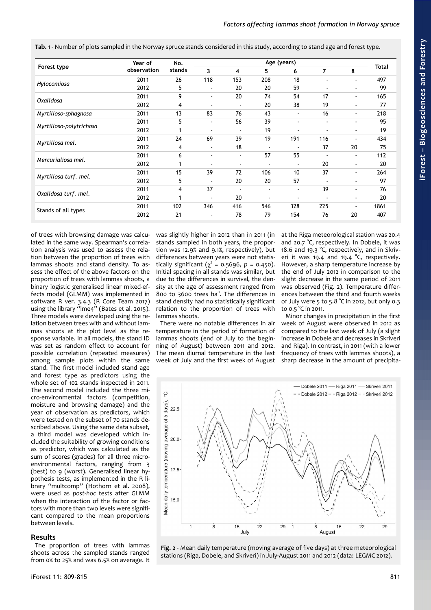<span id="page-2-0"></span>**Tab. 1** - Number of plots sampled in the Norway spruce stands considered in this study, according to stand age and forest type.

| Forest type             | Year of<br>observation | No.<br>stands | Age (years)              |                          |                |                |     |    |              |
|-------------------------|------------------------|---------------|--------------------------|--------------------------|----------------|----------------|-----|----|--------------|
|                         |                        |               | 3                        | 4                        | 5.             | 6              | 7   | 8  | <b>Total</b> |
| Hylocomiosa             | 2011                   | 26            | 118                      | 153                      | 208            | 18             |     | ٠  | 497          |
|                         | 2012                   | 5             | $\overline{\phantom{a}}$ | 20                       | 20             | 59             |     |    | 99           |
| Oxalidosa               | 2011                   | 9             | $\blacksquare$           | 20                       | 74             | 54             | 17  | ٠  | 165          |
|                         | 2012                   | 4             | $\blacksquare$           | $\blacksquare$           | 20             | 38             | 19  |    | 77           |
| Myrtilloso-sphagnosa    | 2011                   | 13            | 83                       | 76                       | 43             | $\blacksquare$ | 16  | ۰  | 218          |
| Myrtilloso-polytrichosa | 2011                   | 5             | $\blacksquare$           | 56                       | 39             |                |     | ٠  | 95           |
|                         | 2012                   |               |                          | $\overline{\phantom{a}}$ | 19             |                |     |    | 19           |
| Myrtillosa mel.         | 2011                   | 24            | 69                       | 39                       | 19             | 191            | 116 | ä, | 434          |
|                         | 2012                   | 4             | $\blacksquare$           | 18                       |                |                | 37  | 20 | 75           |
| Mercurialiosa mel.      | 2011                   | 6             | ٠                        | $\blacksquare$           | 57             | 55             |     | ٠  | 112          |
|                         | 2012                   |               |                          | $\overline{\phantom{a}}$ |                | $\blacksquare$ | 20  | ۰  | 20           |
| Myrtillosa turf. mel.   | 2011                   | 15            | 39                       | 72                       | 106            | 10             | 37  | ٠  | 264          |
|                         | 2012                   | 5             | $\blacksquare$           | 20                       | 20             | 57             |     | ۰  | 97           |
| Oxalidosa turf. mel.    | 2011                   | 4             | 37                       | $\overline{\phantom{a}}$ | $\blacksquare$ | $\blacksquare$ | 39  | ۰  | 76           |
|                         | 2012                   |               | $\blacksquare$           | 20                       | $\blacksquare$ |                |     | ۰  | 20           |
| Stands of all types     | 2011                   | 102           | 346                      | 416                      | 546            | 328            | 225 | ٠  | 1861         |
|                         | 2012                   | 21            | $\blacksquare$           | 78                       | 79             | 154            | 76  | 20 | 407          |

of trees with browsing damage was calculated in the same way. Spearman's correlation analysis was used to assess the relation between the proportion of trees with lammas shoots and stand density. To assess the effect of the above factors on the proportion of trees with lammas shoots, a binary logistic generalised linear mixed-effects model (GLMM) was implemented in software R ver. 3.4.3 (R Core Team 2017) using the library "lme4" (Bates et al. 2015). Three models were developed using the relation between trees with and without lammas shoots at the plot level as the response variable. In all models, the stand ID was set as random effect to account for possible correlation (repeated measures) among sample plots within the same stand. The first model included stand age and forest type as predictors using the whole set of 102 stands inspected in 2011. The second model included the three micro-environmental factors (competition, moisture and browsing damage) and the year of observation as predictors, which were tested on the subset of 70 stands described above. Using the same data subset, a third model was developed which included the suitability of growing conditions as predictor, which was calculated as the sum of scores (grades) for all three microenvironmental factors, ranging from 3 (best) to 9 (worst). Generalised linear hypothesis tests, as implemented in the R library "multcomp" (Hothorn et al. 2008), were used as *post-hoc* tests after GLMM when the interaction of the factor or factors with more than two levels were significant compared to the mean proportions between levels.

## **Results**

The proportion of trees with lammas shoots across the sampled stands ranged from 0% to 25% and was 6.5% on average. It was slightly higher in 2012 than in 2011 (in stands sampled in both years, the proportion was 12.9% and 9.1%, respectively), but differences between years were not statistically significant ( $\chi^2$  = 0.5696, *p* = 0.450). Initial spacing in all stands was similar, but due to the differences in survival, the density at the age of assessment ranged from 800 to 3600 trees ha<sup>-1</sup>. The differences in stand density had no statistically significant relation to the proportion of trees with lammas shoots.

There were no notable differences in air temperature in the period of formation of lammas shoots (end of July to the beginning of August) between 2011 and 2012. The mean diurnal temperature in the last week of July and the first week of August at the Riga meteorological station was 20.4 and 20.7 °C, respectively. In Dobele, it was 18.6 and 19.3 °C, respectively, and in Skriveri it was 19.4 and 19.4 °C, respectively. However, a sharp temperature increase by the end of July 2012 in comparison to the slight decrease in the same period of 2011 was observed [\(Fig. 2\)](#page-2-1). Temperature differences between the third and fourth weeks of July were 5 to 5.8 °C in 2012, but only 0.3 to 0.5 °C in 2011.

Minor changes in precipitation in the first week of August were observed in 2012 as compared to the last week of July (a slight increase in Dobele and decreases in Skriveri and Riga). In contrast, in 2011 (with a lower frequency of trees with lammas shoots), a sharp decrease in the amount of precipita-



<span id="page-2-1"></span>**Fig. 2** - Mean daily temperature (moving average of five days) at three meteorological stations (Riga, Dobele, and Skriveri) in July-August 2011 and 2012 (data: LEGMC 2012).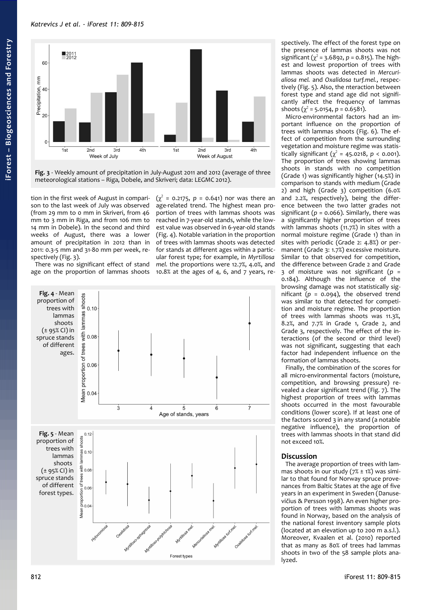# *Katrevics J et al. - iForest 11: 809-815*



<span id="page-3-2"></span>**Fig. 3** - Weekly amount of precipitation in July-August 2011 and 2012 (average of three meteorological stations – Riga, Dobele, and Skriveri; data: LEGMC 2012).

tion in the first week of August in comparison to the last week of July was observed (from 29 mm to 0 mm in Skriveri, from 46 mm to 3 mm in Riga, and from 106 mm to 14 mm in Dobele). In the second and third weeks of August, there was a lower amount of precipitation in 2012 than in 2011: 0.3-5 mm and 31-80 mm per week, respectively [\(Fig. 3\)](#page-3-2).

There was no significant effect of stand age on the proportion of lammas shoots

 $(\chi^2 = 0.2175, p = 0.641)$  nor was there an age-related trend. The highest mean proportion of trees with lammas shoots was reached in 7-year-old stands, while the lowest value was observed in 6-year-old stands [\(Fig. 4\)](#page-3-1). Notable variation in the proportion of trees with lammas shoots was detected for stands at different ages within a particular forest type; for example, in *Myrtillosa mel.* the proportions were 12.7%, 4.0%, and 10.8% at the ages of 4, 6, and 7 years, re-

<span id="page-3-1"></span><span id="page-3-0"></span>

spectively. The effect of the forest type on the presence of lammas shoots was not significant ( $\chi^2$  = 3.6892, p = 0.815). The highest and lowest proportion of trees with lammas shoots was detected in *Mercurialiosa mel.* and *Oxalidosa turf.mel.*, respectively [\(Fig. 5\)](#page-3-0). Also, the nteraction between forest type and stand age did not significantly affect the frequency of lammas shoots  $(\chi^2 = 5.0154, p = 0.6581)$ .

Micro-environmental factors had an important influence on the proportion of trees with lammas shoots [\(Fig. 6\)](#page-4-1). The effect of competition from the surrounding vegetation and moisture regime was statistically significant  $(\chi^2 = 45.0218, p < 0.001)$ . The proportion of trees showing lammas shoots in stands with no competition (Grade 1) was significantly higher (14.5%) in comparison to stands with medium (Grade 2) and high (Grade 3) competition (6.0% and 2.2%, respectively), being the difference between the two latter grades not significant ( $p = 0.066$ ). Similarly, there was a significantly higher proportion of trees with lammas shoots (11.7%) in sites with a normal moisture regime (Grade 1) than in sites with periodic (Grade 2: 4.8%) or permanent (Grade 3: 1.7%) excessive moisture. Similar to that observed for competition, the difference between Grade 2 and Grade 3 of moisture was not significant (*p* = 0.184). Although the influence of the browsing damage was not statistically significant  $(p = 0.094)$ , the observed trend was similar to that detected for competition and moisture regime. The proportion of trees with lammas shoots was 11.3%, 8.2%, and 7.7% in Grade 1, Grade 2, and Grade 3, respectively. The effect of the interactions (of the second or third level) was not significant, suggesting that each factor had independent influence on the formation of lammas shoots.

Finally, the combination of the scores for all micro-environmental factors (moisture, competition, and browsing pressure) revealed a clear significant trend [\(Fig. 7\)](#page-4-0). The highest proportion of trees with lammas shoots occurred in the most favourable conditions (lower score). If at least one of the factors scored 3 in any stand (a notable negative influence), the proportion of trees with lammas shoots in that stand did not exceed 10%.

# **Discussion**

The average proportion of trees with lammas shoots in our study  $(7\% \pm 1\%)$  was similar to that found for Norway spruce provenances from Baltic States at the age of five years in an experiment in Sweden (Danusevičius & Persson 1998). An even higher proportion of trees with lammas shoots was found in Norway, based on the analysis of the national forest inventory sample plots (located at an elevation up to 200 m a.s.l.). Moreover, Kvaalen et al. (2010) reported that as many as 80% of trees had lammas shoots in two of the 58 sample plots analyzed.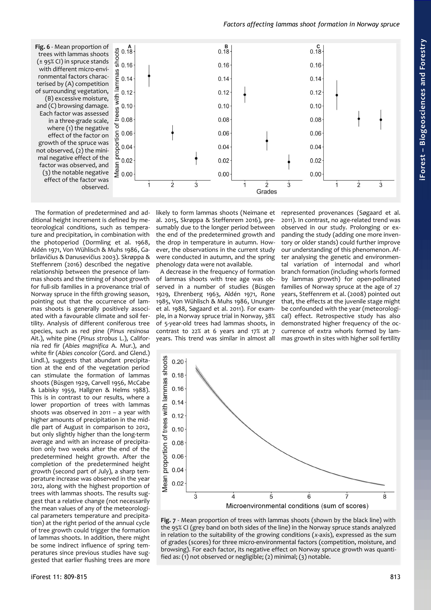### *Factors affecting lammas shoot formation in Norway spruce*

<span id="page-4-1"></span>**Fig. 6** - Mean proportion of trees with lammas shoots (± 95% CI) in spruce stands with different micro-environmental factors characterised by (A) competition of surrounding vegetation, (B) excessive moisture, and (C) browsing damage. Each factor was assessed in a three-grade scale, where (1) the negative effect of the factor on growth of the spruce was not observed, (2) the minimal negative effect of the factor was observed, and (3) the notable negative effect of the factor was observed.



The formation of predetermined and additional height increment is defined by meteorological conditions, such as temperature and precipitation, in combination with the photoperiod (Dormling et al. 1968, Aldén 1971, Von Wühlisch & Muhs 1986, Gabrilavičius & Danusevičius 2003). Skrøppa & Steffenrem (2016) described the negative relationship between the presence of lammas shoots and the timing of shoot growth for full-sib families in a provenance trial of Norway spruce in the fifth growing season, pointing out that the occurrence of lammas shoots is generally positively associated with a favourable climate and soil fertility. Analysis of different coniferous tree species, such as red pine (*Pinus resinosa* Ait.), white pine (*Pinus strobus* L.), California red fir (*Abies magnifica* A. Mur.), and white fir (*Abies concolor* (Gord. and Glend.) Lindl.), suggests that abundant precipitation at the end of the vegetation period can stimulate the formation of lammas shoots (Büsgen 1929, Carvell 1956, McCabe & Labisky 1959, Hallgren & Helms 1988). This is in contrast to our results, where a lower proportion of trees with lammas shoots was observed in 2011 – a year with higher amounts of precipitation in the middle part of August in comparison to 2012, but only slightly higher than the long-term average and with an increase of precipitation only two weeks after the end of the predetermined height growth. After the completion of the predetermined height growth (second part of July), a sharp temperature increase was observed in the year 2012, along with the highest proportion of trees with lammas shoots. The results suggest that a relative change (not necessarily the mean values of any of the meteorological parameters temperature and precipitation) at the right period of the annual cycle of tree growth could trigger the formation of lammas shoots. In addition, there might be some indirect influence of spring temperatures since previous studies have suggested that earlier flushing trees are more

likely to form lammas shoots (Neimane et al. 2015, Skrøppa & Steffenrem 2016), presumably due to the longer period between the end of the predetermined growth and the drop in temperature in autumn. However, the observations in the current study were conducted in autumn, and the spring phenology data were not available.

A decrease in the frequency of formation of lammas shoots with tree age was observed in a number of studies (Büsgen 1929, Ehrenberg 1963, Aldén 1971, Rone 1985, Von Wühlisch & Muhs 1986, Ununger et al. 1988, Søgaard et al. 2011). For example, in a Norway spruce trial in Norway, 38% of 5-year-old trees had lammas shoots, in contrast to 22% at 6 years and 17% at 7 years. This trend was similar in almost all represented provenances (Søgaard et al. 2011). In contrast, no age-related trend was observed in our study. Prolonging or expanding the study (adding one more inventory or older stands) could further improve our understanding of this phenomenon. After analysing the genetic and environmental variation of internodal and whorl branch formation (including whorls formed by lammas growth) for open-pollinated families of Norway spruce at the age of 27 years, Steffenrem et al. (2008) pointed out that, the effects at the juvenile stage might be confounded with the year (meteorological) effect. Retrospective study has also demonstrated higher frequency of the occurrence of extra whorls formed by lammas growth in sites with higher soil fertility



<span id="page-4-0"></span>**Fig. 7** - Mean proportion of trees with lammas shoots (shown by the black line) with the 95% CI (grey band on both sides of the line) in the Norway spruce stands analyzed in relation to the suitability of the growing conditions (*x*-axis), expressed as the sum of grades (scores) for three micro-environmental factors (competition, moisture, and browsing). For each factor, its negative effect on Norway spruce growth was quantified as:  $(i)$  not observed or negligible; (2) minimal; (3) notable.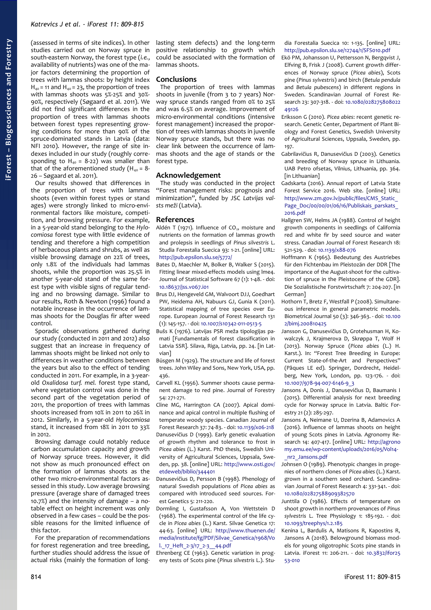(assessed in terms of site indices). In other studies carried out on Norway spruce in south-eastern Norway, the forest type (*i.e.*, availability of nutrients) was one of the major factors determining the proportion of trees with lammas shoots: by height index  $H_{40}$  = 11 and  $H_{40}$  = 23, the proportion of trees with lammas shoots was 5%-25% and 30%- 90%, respectively (Søgaard et al. 2011). We did not find significant differences in the proportion of trees with lammas shoots between forest types representing growing conditions for more than 90% of the spruce-dominated stands in Latvia (data: NFI 2010). However, the range of site indexes included in our study (roughly corresponding to  $H_{40} = 8-22$ ) was smaller than that of the aforementioned study ( $H_{40} = 8$ -26 – Søgaard et al. 2011).

Our results showed that differences in the proportion of trees with lammas shoots (even within forest types or stand ages) were strongly linked to micro-environmental factors like moisture, competition, and browsing pressure. For example, in a 5-year-old stand belonging to the *Hylocomiosa* forest type with little evidence of tending and therefore a high competition of herbaceous plants and shrubs, as well as visible browsing damage on 22% of trees, only 1.8% of the individuals had lammas shoots, while the proportion was 25.5% in another 5-year-old stand of the same forest type with visible signs of regular tending and no browsing damage. Similar to our results, Roth & Newton (1996) found a notable increase in the occurrence of lammas shoots for the Douglas fir after weed control.

Sporadic observations gathered during our study (conducted in 2011 and 2012) also suggest that an increase in frequency of lammas shoots might be linked not only to differences in weather conditions between the years but also to the effect of tending conducted in 2011. For example, in a 3-yearold *Oxalidosa turf. mel.* forest type stand, where vegetation control was done in the second part of the vegetation period of 2011, the proportion of trees with lammas shoots increased from 10% in 2011 to 26% in 2012. Similarly, in a 5-year-old *Hylocomiosa* stand, it increased from 18% in 2011 to 33%  $in$  2012.

Browsing damage could notably reduce carbon accumulation capacity and growth of Norway spruce trees. However, it did not show as much pronounced effect on the formation of lammas shoots as the other two micro-environmental factors assessed in this study. Low average browsing pressure (average share of damaged trees 10.7%) and the intensity of damage – a notable effect on height increment was only observed in a few cases – could be the possible reasons for the limited influence of this factor.

For the preparation of recommendations for forest regeneration and tree breeding, further studies should address the issue of actual risks (mainly the formation of longlasting stem defects) and the long-term positive relationship to growth which could be associated with the formation of lammas shoots.

#### **Conclusions**

The proportion of trees with lammas shoots in juvenile (from 3 to 7 years) Norway spruce stands ranged from 0% to 25% and was 6.5% on average. Improvement of micro-environmental conditions (intensive forest management) increased the proportion of trees with lammas shoots in juvenile Norway spruce stands, but there was no clear link between the occurrence of lammas shoots and the age of stands or the forest type.

#### **Acknowledgement**

The study was conducted in the project "Forest management risks: prognosis and minimization", funded by JSC *Latvijas valsts meži* (Latvia).

#### **References**

- Aldén T (1971). Influence of  $CO<sub>2</sub>$ , moisture and nutrients on the formation of lammas growth and prolepsis in seedlings of *Pinus silvestris* L. Studia Forestalia Suecica 93: 1-21. [online] URL: <http://pub.epsilon.slu.se/5772/>
- Bates D, Maechler M, Bolker B, Walker S (2015). Fitting linear mixed-effects models using lme4. Journal of Statistical Software 67 (1): 1-48. - doi: [10.18637/jss.v067.i01](https://doi.org/10.18637/jss.v067.i01)
- Brus DJ, Hengeveld GM, Walvoort DJJ, Goedhart PW, Heidema AH, Nabuurs GJ, Gunia K (2011). Statistical mapping of tree species over Europe. European Journal of Forest Research 131 (1): 145-157. - doi: [10.1007/s10342-011-0513-5](https://doi.org/10.1007/s10342-011-0513-5)
- Bušs K (1976). Latvijas PSR meža tipologijas pamati [Fundamentals of forest classification in Latvia SSR]. Silava, Riga, Latvia, pp. 24. [in Latvian]
- Büsgen M (1929). The structure and life of forest trees. John Wiley and Sons, New York, USA, pp. 436.
- Carvell KL (1956). Summer shoots cause permanent damage to red pine. Journal of Forestry 54: 271-271.
- Cline MG, Harrington CA (2007). Apical dominance and apical control in multiple flushing of temperate woody species. Canadian Journal of Forest Research 37: 74-83. - doi: [10.1139/x06-218](https://doi.org/10.1139/x06-218) Danusevičius D (1999). Early genetic evaluation of growth rhythm and tolerance to frost in *Picea abies* (L.) Karst. PhD thesis, Swedish University of Agricultural Sciences, Uppsala, Sweden, pp. 38. [online] URL: [http://www.osti.gov/](http://www.osti.gov/etdeweb/biblio/344401) [etdeweb/biblio/344401](http://www.osti.gov/etdeweb/biblio/344401)
- Danusevičius D, Persson B (1998). Phenology of natural Swedish populations of *Picea abies* as compared with introduced seed sources. Forest Genetics 5: 211-220.
- Dormling I, Gustafsson A, Von Wettstein D (1968). The experimental control of the life cycle in *Picea abies* (L.) Karst. Silvae Genetica 17: 44-63. [online] URL: [http://www.thuenen.de/](http://www.thuenen.de/media/institute/fg/PDF/Silvae_Genetica/1968/Vol._17_Heft_2-3/17_2-3__44.pdf) [media/institute/fg/PDF/Silvae\\_Genetica/1968/Vo](http://www.thuenen.de/media/institute/fg/PDF/Silvae_Genetica/1968/Vol._17_Heft_2-3/17_2-3__44.pdf) [l.\\_17\\_Heft\\_2-3/17\\_2-3\\_\\_44.pdf](http://www.thuenen.de/media/institute/fg/PDF/Silvae_Genetica/1968/Vol._17_Heft_2-3/17_2-3__44.pdf)
- Ehrenberg CE (1963). Genetic variation in progeny tests of Scots pine (*Pinus silvestris* L.). Stu-

dia Forestalia Suecica 10: 1-135. [online] URL: <http://pub.epsilon.slu.se/12744/1/SFS010.pdf>

- Ekö PM, Johansson U, Pettersson N, Bergqvist J, Elfving B, Frisk J (2008). Current growth differences of Norway spruce (*Picea abies*), Scots pine (*Pinus sylvestris*) and birch (*Betula pendula* and *Betula pubescens*) in different regions in Sweden. Scandinavian Journal of Forest Research 23: 307-318. - doi: [10.1080/028275808022](https://doi.org/10.1080/02827580802249126) [49126](https://doi.org/10.1080/02827580802249126)
- Eriksson G (2010). *Picea abies*: recent genetic research. Genetic Center, Department of Plant Biology and Forest Genetics, Swedish University of Agricultural Sciences, Uppsala, Sweden, pp. 197.
- Gabrilavičius R, Danusevičius D (2003). Genetics and breeding of Norway spruce in Lithuania. UAB Petro ofsetas, Vilnius, Lithuania, pp. 364. [in Lithuanian]
- Gadskarta (2016). Annual report of Latvia State Forest Service 2016. Web site. [online] URL: [http://www.zm.gov.lv/public/files/CMS\\_Static\\_](http://www.zm.gov.lv/public/files/CMS_Static_Page_Doc/00/00/01/06/16/Publiskais_parskats_2016.pdf) Page\_Doc/00/00/01/06/16/Publiskais\_parskats [2016.pdf](http://www.zm.gov.lv/public/files/CMS_Static_Page_Doc/00/00/01/06/16/Publiskais_parskats_2016.pdf)
- Hallgren SW, Helms JA (1988). Control of height growth components in seedlings of California red and white fir by seed source and water stress. Canadian Journal of Forest Research 18: 521-529. - doi: [10.1139/x88-076](https://doi.org/10.1139/x88-076)
- Hoffmann K (1965). Bedeutung des Austriebes für den Fichtenbau im Pleistozän der DDR [The importance of the August-shoot for the cultivation of spruce in the Pleistocene of the GDR]. Die Sozialistische Forstwirtschaft 7: 204-207. [in German]
- Hothorn T, Bretz F, Westfall P (2008). Simultaneous inference in general parametric models. Biometrical Journal 50 (3): 346-363. - doi: [10.100](https://doi.org/10.1002/bimj.200810425) [2/bimj.200810425](https://doi.org/10.1002/bimj.200810425)
- Jansson G, Danusevičius D, Grotehusman H, Kowalczyk J, Krajmerova D, Skrøppa T, Wolf H (2013). Norway Spruce (*Picea abies* (L.) H. Karst.). In: "Forest Tree Breeding in Europe: Current State-of-the-Art and Perspectives" (Pâques LE ed). Springer, Dordrecht, Heidelberg, New York, London, pp. 123-176. - doi: [10.1007/978-94-007-6146-9\\_3](https://doi.org/10.1007/978-94-007-6146-9_3)
- Jansons A, Donis J, Danusevičius D, Baumanis I (2015). Differential analysis for next breeding cycle for Norway spruce in Latvia. Baltic Forestry 21 (2): 285-297.
- Jansons A, Neimane U, Dzerina B, Adamovics A (2016). Influence of lammas shoots on height of young Scots pines in Latvia. Agronomy Research 14: 407-417. [online] URL: [http://agrono](http://agronomy.emu.ee/wp-content/uploads/2016/05/Vol14-_nr2_Jansons.pdf) [my.emu.ee/wp-content/uploads/2016/05/Vol14-](http://agronomy.emu.ee/wp-content/uploads/2016/05/Vol14-_nr2_Jansons.pdf) [\\_nr2\\_Jansons.pdf](http://agronomy.emu.ee/wp-content/uploads/2016/05/Vol14-_nr2_Jansons.pdf)
- Johnsen O (1989). Phenotypic changes in progenies of northern clones of *Picea abies* (L.) Karst. grown in a southern seed orchard. Scandinavian Journal of Forest Research 4: 331-341. - doi: [10.1080/02827588909382570](https://doi.org/10.1080/02827588909382570)
- Junttila O (1986). Effects of temperature on shoot growth in northern provenances of *Pinus sylvestris* L. Tree Physiology 1: 185-192. - doi: [10.1093/treephys/1.2.185](https://doi.org/10.1093/treephys/1.2.185)
- Kenina L, Bardulis A, Matisons R, Kapostins R, Jansons A (2018). Belowground biomass models for young oligotrophic Scots pine stands in Latvia. iForest 11: 206-211. - doi: [10.3832/ifor25](https://doi.org/10.3832/ifor2553-010) [53-010](https://doi.org/10.3832/ifor2553-010)